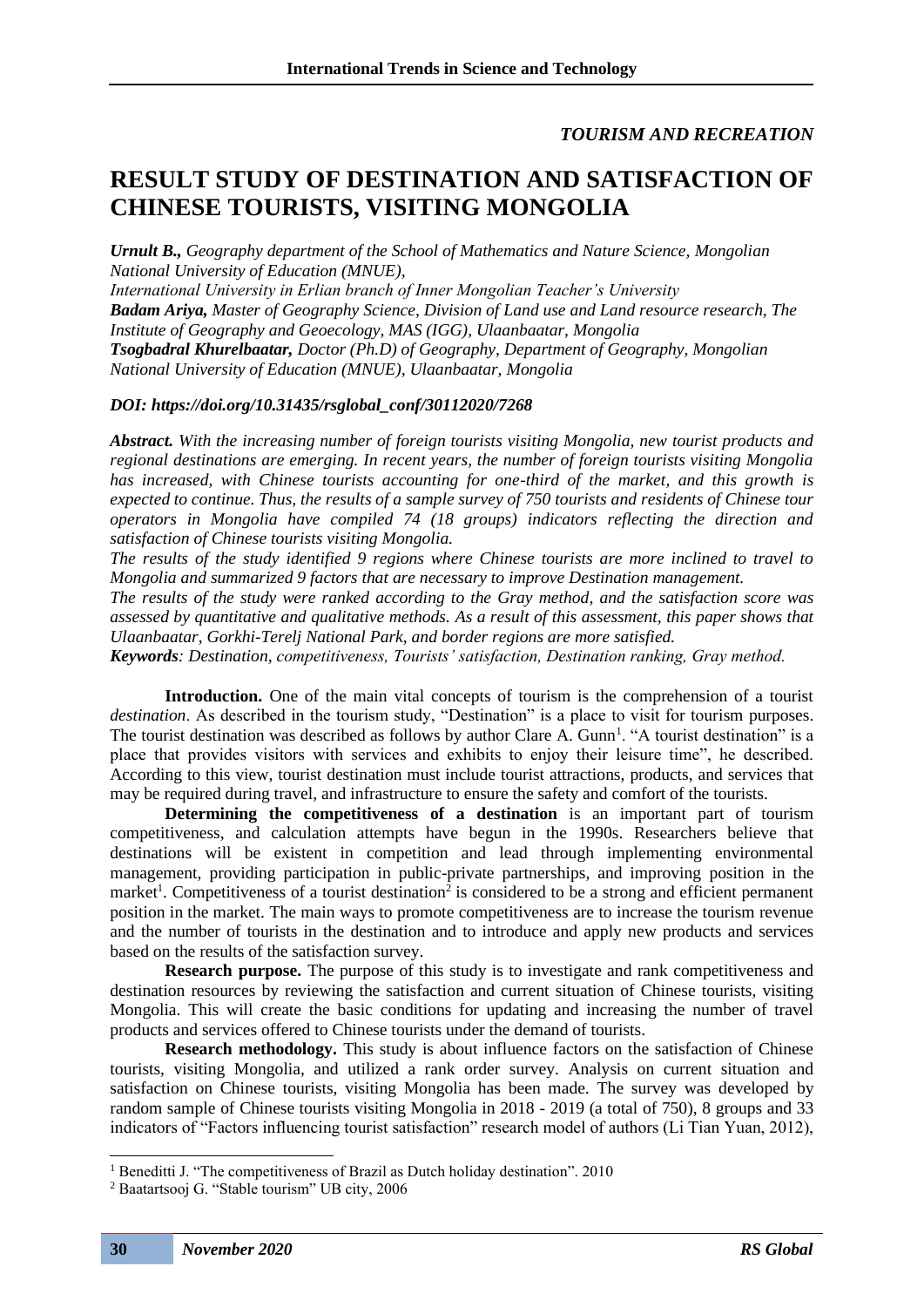# *TOURISM AND RECREATION*

# **RESULT STUDY OF DESTINATION AND SATISFACTION OF CHINESE TOURISTS, VISITING MONGOLIA**

*Urnult B., Geography department of the School of Mathematics and Nature Science, Mongolian National University of Education (MNUE),* 

*International University in Erlian branch of Inner Mongolian Teacher's University Badam Ariya, Master of Geography Science, Division of Land use and Land resource research, The Institute of Geography and Geoecology, MAS (IGG), Ulaanbaatar, Mongolia Tsogbadral Khurelbaatar, Doctor (Ph.D) of Geography, Department of Geography, Mongolian National University of Education (MNUE), Ulaanbaatar, Mongolia*

## *DOI: https://doi.org/10.31435/rsglobal\_conf/30112020/7268*

*Abstract. With the increasing number of foreign tourists visiting Mongolia, new tourist products and regional destinations are emerging. In recent years, the number of foreign tourists visiting Mongolia has increased, with Chinese tourists accounting for one-third of the market, and this growth is expected to continue. Thus, the results of a sample survey of 750 tourists and residents of Chinese tour operators in Mongolia have compiled 74 (18 groups) indicators reflecting the direction and satisfaction of Chinese tourists visiting Mongolia.*

*The results of the study identified 9 regions where Chinese tourists are more inclined to travel to Mongolia and summarized 9 factors that are necessary to improve Destination management.*

*The results of the study were ranked according to the Gray method, and the satisfaction score was assessed by quantitative and qualitative methods. As a result of this assessment, this paper shows that Ulaanbaatar, Gorkhi-Terelj National Park, and border regions are more satisfied.*

*Keywords: Destination, competitiveness, Tourists' satisfaction, Destination ranking, Gray method.*

**Introduction.** One of the main vital concepts of tourism is the comprehension of a tourist *destination*. As described in the tourism study, "Destination" is a place to visit for tourism purposes. The tourist destination was described as follows by author Clare A. Gunn<sup>1</sup>. "A tourist destination" is a place that provides visitors with services and exhibits to enjoy their leisure time", he described. According to this view, tourist destination must include tourist attractions, products, and services that may be required during travel, and infrastructure to ensure the safety and comfort of the tourists.

**Determining the competitiveness of a destination** is an important part of tourism competitiveness, and calculation attempts have begun in the 1990s. Researchers believe that destinations will be existent in competition and lead through implementing environmental management, providing participation in public-private partnerships, and improving position in the market<sup>1</sup>. Competitiveness of a tourist destination<sup>2</sup> is considered to be a strong and efficient permanent position in the market. The main ways to promote competitiveness are to increase the tourism revenue and the number of tourists in the destination and to introduce and apply new products and services based on the results of the satisfaction survey.

**Research purpose.** The purpose of this study is to investigate and rank competitiveness and destination resources by reviewing the satisfaction and current situation of Chinese tourists, visiting Mongolia. This will create the basic conditions for updating and increasing the number of travel products and services offered to Chinese tourists under the demand of tourists.

**Research methodology.** This study is about influence factors on the satisfaction of Chinese tourists, visiting Mongolia, and utilized a rank order survey. Analysis on current situation and satisfaction on Chinese tourists, visiting Mongolia has been made. The survey was developed by random sample of Chinese tourists visiting Mongolia in 2018 - 2019 (a total of 750), 8 groups and 33 indicators of "Factors influencing tourist satisfaction" research model of authors (Li Tian Yuan, 2012),

<sup>&</sup>lt;sup>1</sup> Beneditti J. "The competitiveness of Brazil as Dutch holiday destination". 2010

<sup>2</sup> Baatartsooj G. "Stable tourism" UB city, 2006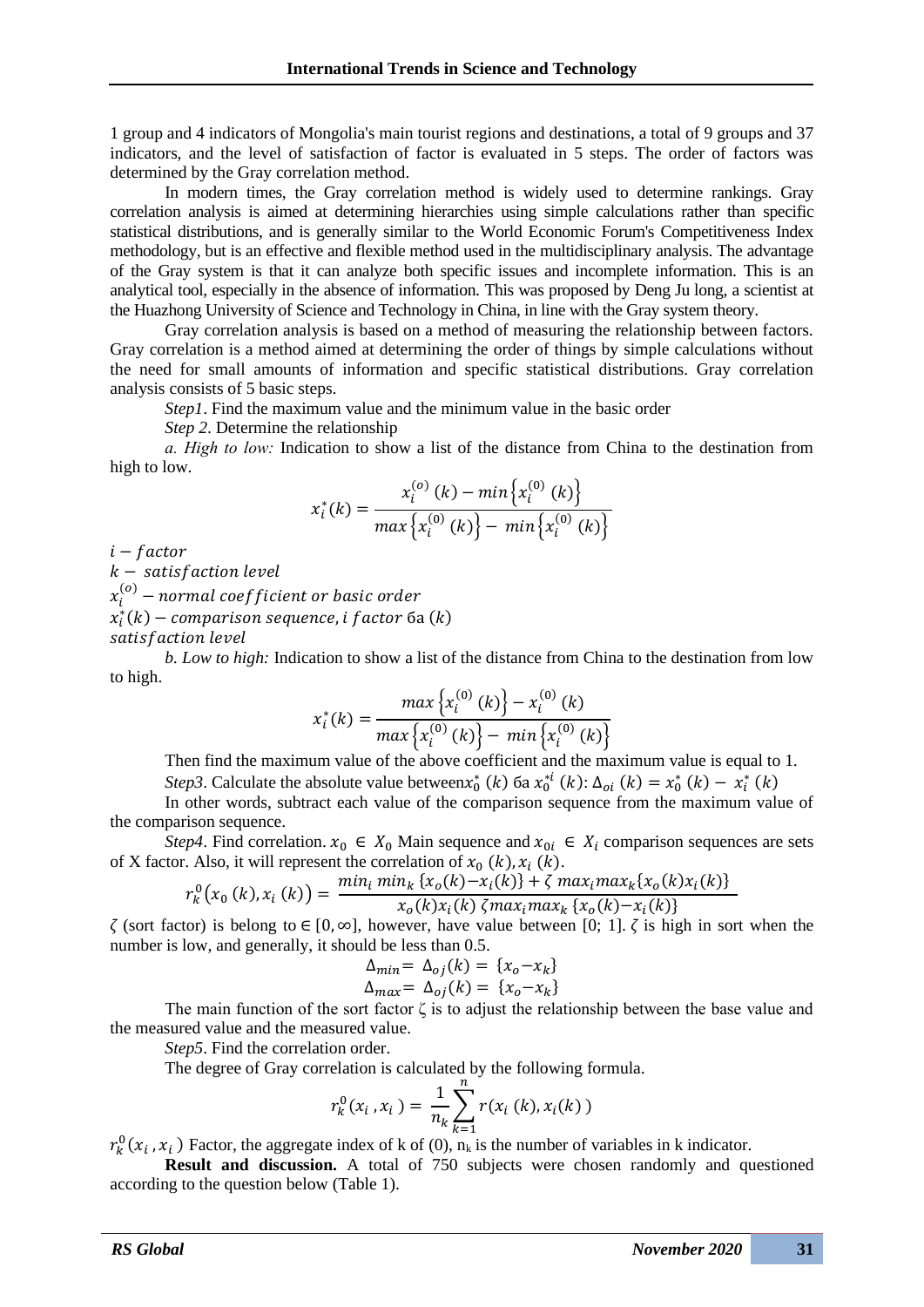1 group and 4 indicators of Mongolia's main tourist regions and destinations, a total of 9 groups and 37 indicators, and the level of satisfaction of factor is evaluated in 5 steps. The order of factors was determined by the Gray correlation method.

In modern times, the Gray correlation method is widely used to determine rankings. Gray correlation analysis is aimed at determining hierarchies using simple calculations rather than specific statistical distributions, and is generally similar to the World Economic Forum's Competitiveness Index methodology, but is an effective and flexible method used in the multidisciplinary analysis. The advantage of the Gray system is that it can analyze both specific issues and incomplete information. This is an analytical tool, especially in the absence of information. This was proposed by Deng Ju long, a scientist at the Huazhong University of Science and Technology in China, in line with the Gray system theory.

Gray correlation analysis is based on a method of measuring the relationship between factors. Gray correlation is a method aimed at determining the order of things by simple calculations without the need for small amounts of information and specific statistical distributions. Gray correlation analysis consists of 5 basic steps.

*Step1*. Find the maximum value and the minimum value in the basic order

*Step 2*. Determine the relationship

*а. High to low:* Indication to show a list of the distance from China to the destination from high to low.

$$
x_i^*(k) = \frac{x_i^{(o)}(k) - \min\left\{x_i^{(0)}(k)\right\}}{\max\left\{x_i^{(0)}(k)\right\} - \min\left\{x_i^{(0)}(k)\right\}}
$$

 $i - factor$ 

 $k$  – satisfaction level

 $x_i^{(o)}$  – normal coef ficient or basic order

 $x_{i}^{\ast }(k)-$  comparison sequence, i f $\it{actor}$   $\it{6a}$   $(k)$ 

satisfaction level

*b. Low to high:* Indication to show a list of the distance from China to the destination from low to high.

$$
x_i^*(k) = \frac{max\left\{x_i^{(0)}(k)\right\} - x_i^{(0)}(k)}{max\left\{x_i^{(0)}(k)\right\} - min\left\{x_i^{(0)}(k)\right\}}
$$

Then find the maximum value of the above coefficient and the maximum value is equal to 1. *Step3*. Calculate the absolute value between $x_0^*(k)$  ба  $x_0^{*i}(k)$ :  $\Delta_{oi}(k) = x_0^*(k) - x_i^*(k)$ 

In other words, subtract each value of the comparison sequence from the maximum value of the comparison sequence.

*Step4*. Find correlation.  $x_0 \in X_0$  Main sequence and  $x_0 \in X_i$  comparison sequences are sets of X factor. Also, it will represent the correlation of  $x_0$  (k),  $x_i$  (k).

$$
r_k^0(x_0(k), x_i(k)) = \frac{\min_i \min_k \{x_0(k) - x_i(k)\} + \zeta \max_i \max_k \{x_0(k)x_i(k)\}}{x_0(k)x_i(k) \zeta \max_i \max_k \{x_0(k) - x_i(k)\}}
$$

 $\zeta$  (sort factor) is belong to  $\in [0, \infty]$ , however, have value between [0; 1].  $\zeta$  is high in sort when the number is low, and generally, it should be less than 0.5.

$$
\Delta_{min} = \Delta_{oj}(k) = \{x_o - x_k\}
$$
  

$$
\Delta_{max} = \Delta_{oj}(k) = \{x_o - x_k\}
$$

The main function of the sort factor  $\zeta$  is to adjust the relationship between the base value and the measured value and the measured value.

*Step5*. Find the correlation order.

The degree of Gray correlation is calculated by the following formula.

$$
r_k^0(x_i, x_i) = \frac{1}{n_k} \sum_{k=1}^n r(x_i(k), x_i(k))
$$

 $r_k^0(x_i, x_i)$  Factor, the aggregate index of k of (0),  $n_k$  is the number of variables in k indicator.

**Result and discussion.** A total of 750 subjects were chosen randomly and questioned according to the question below (Table 1).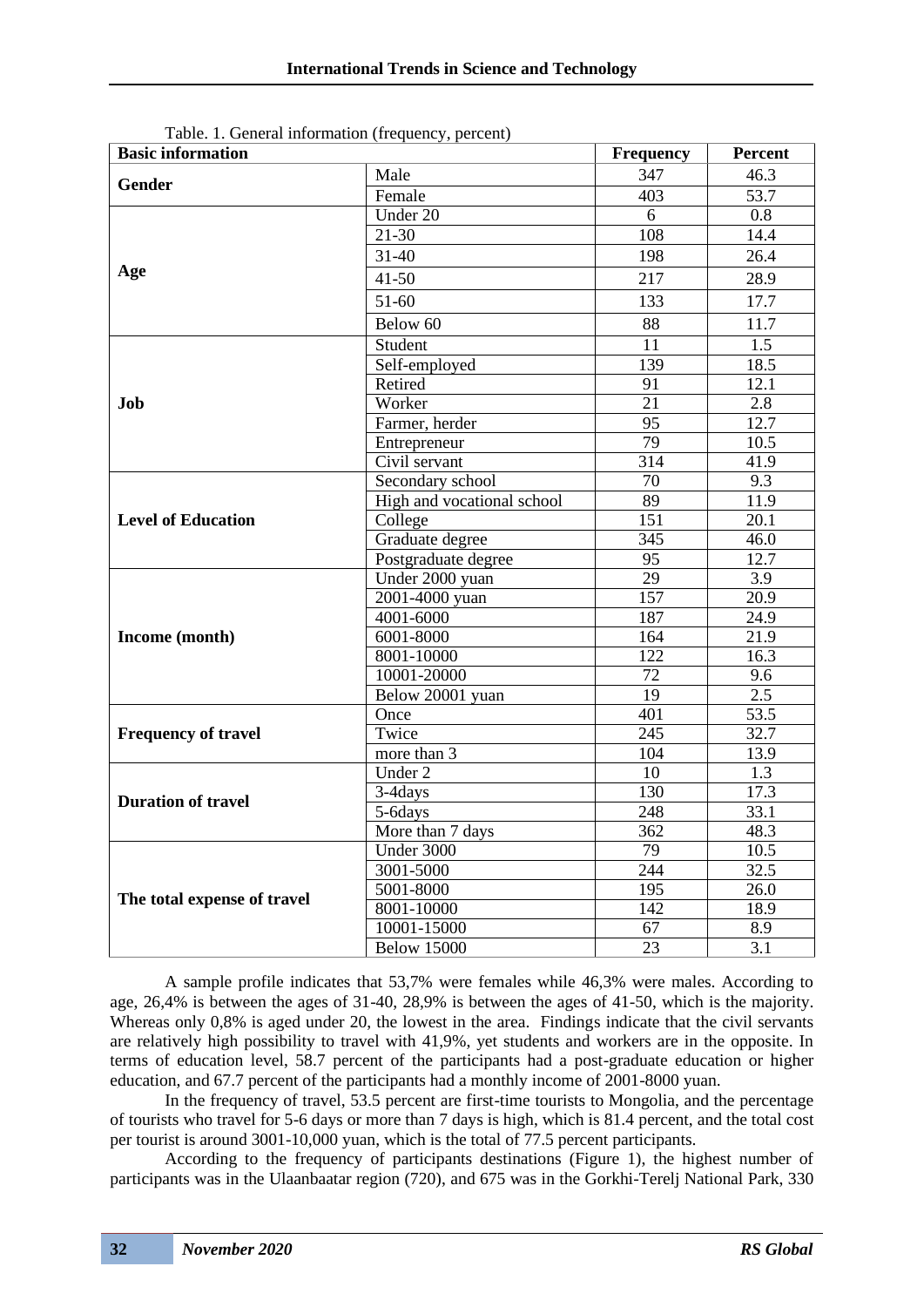| <b>Basic information</b>    | <b>Frequency</b>           | <b>Percent</b>   |                   |  |  |
|-----------------------------|----------------------------|------------------|-------------------|--|--|
| <b>Gender</b>               | Male                       | 347              | 46.3              |  |  |
|                             | Female                     | 403              | 53.7              |  |  |
|                             | $\overline{U}$ nder 20     | 6                | 0.8               |  |  |
|                             | $21 - 30$                  | 108              | 14.4              |  |  |
|                             | $31 - 40$                  | 198              | 26.4              |  |  |
| Age                         | $41 - 50$                  | 217              | 28.9              |  |  |
|                             | $51-60$                    | 133              | 17.7              |  |  |
|                             | Below 60                   | 88               | 11.7              |  |  |
|                             | Student                    | $\overline{11}$  | 1.5               |  |  |
|                             | Self-employed              | 139              | 18.5              |  |  |
|                             | Retired                    | $\overline{91}$  | $\overline{12.1}$ |  |  |
| Job                         | Worker                     | $\overline{21}$  | 2.8               |  |  |
|                             | Farmer, herder             | 95               | 12.7              |  |  |
|                             | Entrepreneur               | $\overline{79}$  | 10.5              |  |  |
|                             | Civil servant              | 314              | 41.9              |  |  |
|                             | Secondary school           | 70               | 9.3               |  |  |
|                             | High and vocational school | $\overline{89}$  | 11.9              |  |  |
| <b>Level of Education</b>   | College                    | 151              | 20.1              |  |  |
|                             | Graduate degree            | $\overline{345}$ | 46.0              |  |  |
|                             | Postgraduate degree        | 95               | 12.7              |  |  |
|                             | Under 2000 yuan            | 29               | 3.9               |  |  |
|                             | 2001-4000 yuan             | 157              | $\overline{20.9}$ |  |  |
|                             | 4001-6000                  | 187              | 24.9              |  |  |
| Income (month)              | 6001-8000                  | 164              | 21.9              |  |  |
|                             | 8001-10000                 | 122              | 16.3              |  |  |
|                             | 10001-20000                | 72               | 9.6               |  |  |
|                             | Below 20001 yuan           | $\overline{19}$  | 2.5               |  |  |
|                             | Once                       | 401              | 53.5              |  |  |
| <b>Frequency of travel</b>  | Twice                      | 245              | 32.7              |  |  |
|                             | more than 3                | 104              | 13.9              |  |  |
|                             | Under 2                    | 10               | 1.3               |  |  |
| <b>Duration of travel</b>   | 3-4days                    | 130              | 17.3              |  |  |
|                             | 5-6days                    | 248              | 33.1              |  |  |
|                             | More than 7 days           | $\overline{362}$ | 48.3              |  |  |
|                             | Under 3000                 | $\overline{79}$  | 10.5              |  |  |
|                             | 3001-5000                  | 244              | 32.5              |  |  |
| The total expense of travel | 5001-8000                  | 195              | 26.0              |  |  |
|                             | 8001-10000                 | 142              | 18.9              |  |  |
|                             | 10001-15000                | 67               | 8.9               |  |  |
|                             | <b>Below 15000</b>         | $\overline{23}$  | $\overline{3.1}$  |  |  |

Table. 1. General information (frequency, percent)

A sample profile indicates that 53,7% were females while 46,3% were males. According to age, 26,4% is between the ages of 31-40, 28,9% is between the ages of 41-50, which is the majority. Whereas only 0,8% is aged under 20, the lowest in the area. Findings indicate that the civil servants are relatively high possibility to travel with 41,9%, yet students and workers are in the opposite. In terms of education level, 58.7 percent of the participants had a post-graduate education or higher education, and 67.7 percent of the participants had a monthly income of 2001-8000 yuan.

In the frequency of travel, 53.5 percent are first-time tourists to Mongolia, and the percentage of tourists who travel for 5-6 days or more than 7 days is high, which is 81.4 percent, and the total cost per tourist is around 3001-10,000 yuan, which is the total of 77.5 percent participants.

According to the frequency of participants destinations (Figure 1), the highest number of participants was in the Ulaanbaatar region (720), and 675 was in the Gorkhi-Terelj National Park, 330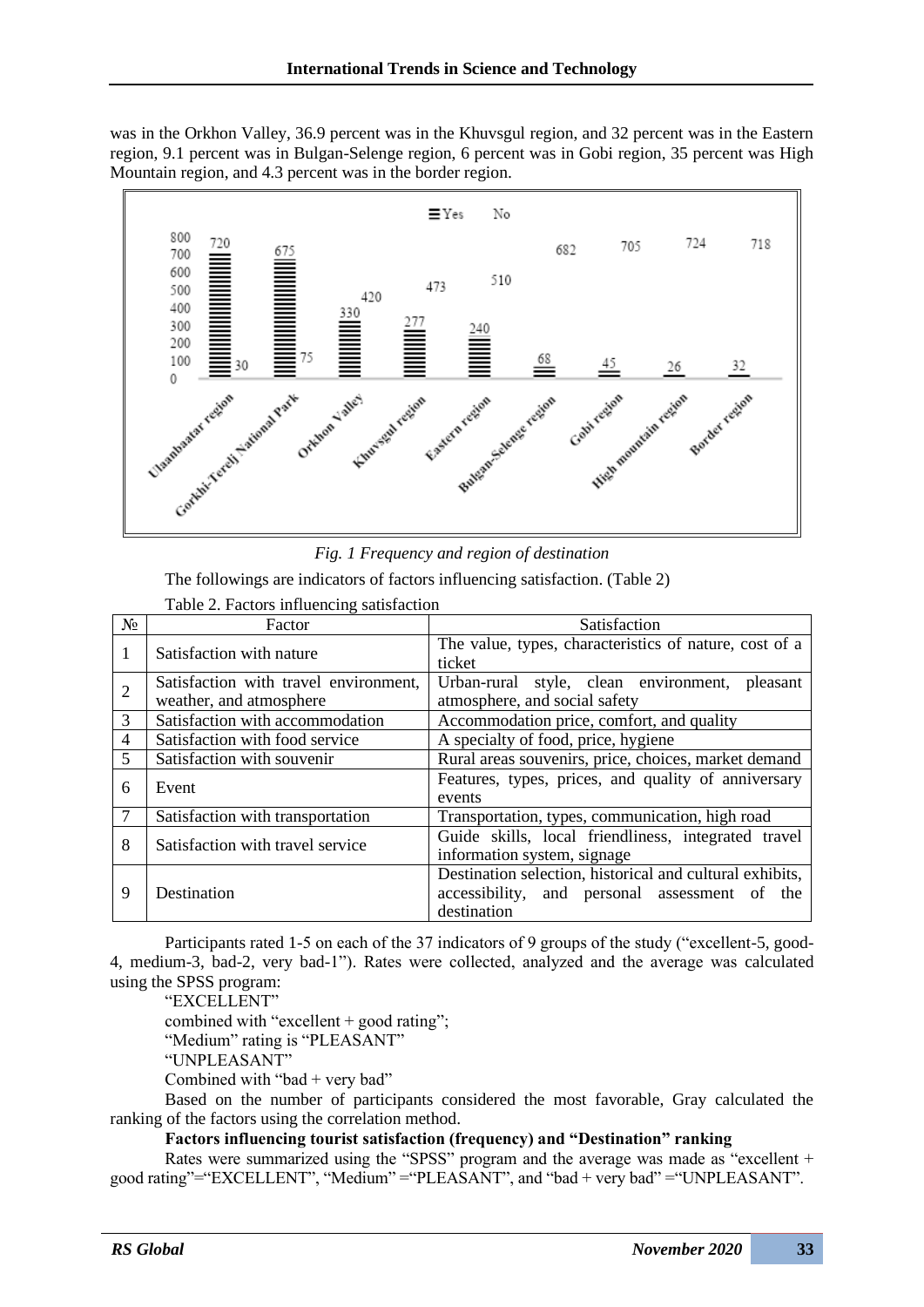was in the Orkhon Valley, 36.9 percent was in the Khuvsgul region, and 32 percent was in the Eastern region, 9.1 percent was in Bulgan-Selenge region, 6 percent was in Gobi region, 35 percent was High Mountain region, and 4.3 percent was in the border region.



*Fig. 1 Frequency and region of destination*

The followings are indicators of factors influencing satisfaction. (Table 2)

| $N_2$          | Factor                                | Satisfaction                                             |  |  |  |  |  |  |  |  |
|----------------|---------------------------------------|----------------------------------------------------------|--|--|--|--|--|--|--|--|
| 1              | Satisfaction with nature              | The value, types, characteristics of nature, cost of a   |  |  |  |  |  |  |  |  |
|                |                                       | ticket                                                   |  |  |  |  |  |  |  |  |
| $\overline{2}$ | Satisfaction with travel environment, | Urban-rural style, clean environment,<br>pleasant        |  |  |  |  |  |  |  |  |
|                | weather, and atmosphere               | atmosphere, and social safety                            |  |  |  |  |  |  |  |  |
| $\overline{3}$ | Satisfaction with accommodation       | Accommodation price, comfort, and quality                |  |  |  |  |  |  |  |  |
| $\overline{4}$ | Satisfaction with food service        | A specialty of food, price, hygiene                      |  |  |  |  |  |  |  |  |
| 5              | Satisfaction with souvenir            | Rural areas souvenirs, price, choices, market demand     |  |  |  |  |  |  |  |  |
| 6              | Event                                 | Features, types, prices, and quality of anniversary      |  |  |  |  |  |  |  |  |
|                |                                       | events                                                   |  |  |  |  |  |  |  |  |
|                | Satisfaction with transportation      | Transportation, types, communication, high road          |  |  |  |  |  |  |  |  |
| 8              | Satisfaction with travel service      | Guide skills, local friendliness, integrated travel      |  |  |  |  |  |  |  |  |
|                |                                       | information system, signage                              |  |  |  |  |  |  |  |  |
| 9              |                                       | Destination selection, historical and cultural exhibits, |  |  |  |  |  |  |  |  |
|                | Destination                           | accessibility, and personal assessment of<br>the         |  |  |  |  |  |  |  |  |
|                |                                       | destination                                              |  |  |  |  |  |  |  |  |

Table 2. Factors influencing satisfaction

Participants rated 1-5 on each of the 37 indicators of 9 groups of the study ("excellent-5, good-4, medium-3, bad-2, very bad-1"). Rates were collected, analyzed and the average was calculated using the SPSS program:

"EXCELLENT"

combined with "excellent + good rating";

"Medium" rating is "PLEASANT"

"UNPLEASANT"

Combined with "bad  $+$  very bad"

Based on the number of participants considered the most favorable, Gray calculated the ranking of the factors using the correlation method.

## **Factors influencing tourist satisfaction (frequency) and "Destination" ranking**

Rates were summarized using the "SPSS" program and the average was made as "excellent + good rating"="EXCELLENT", "Medium" ="PLEASANT", and "bad + very bad" ="UNPLEASANT".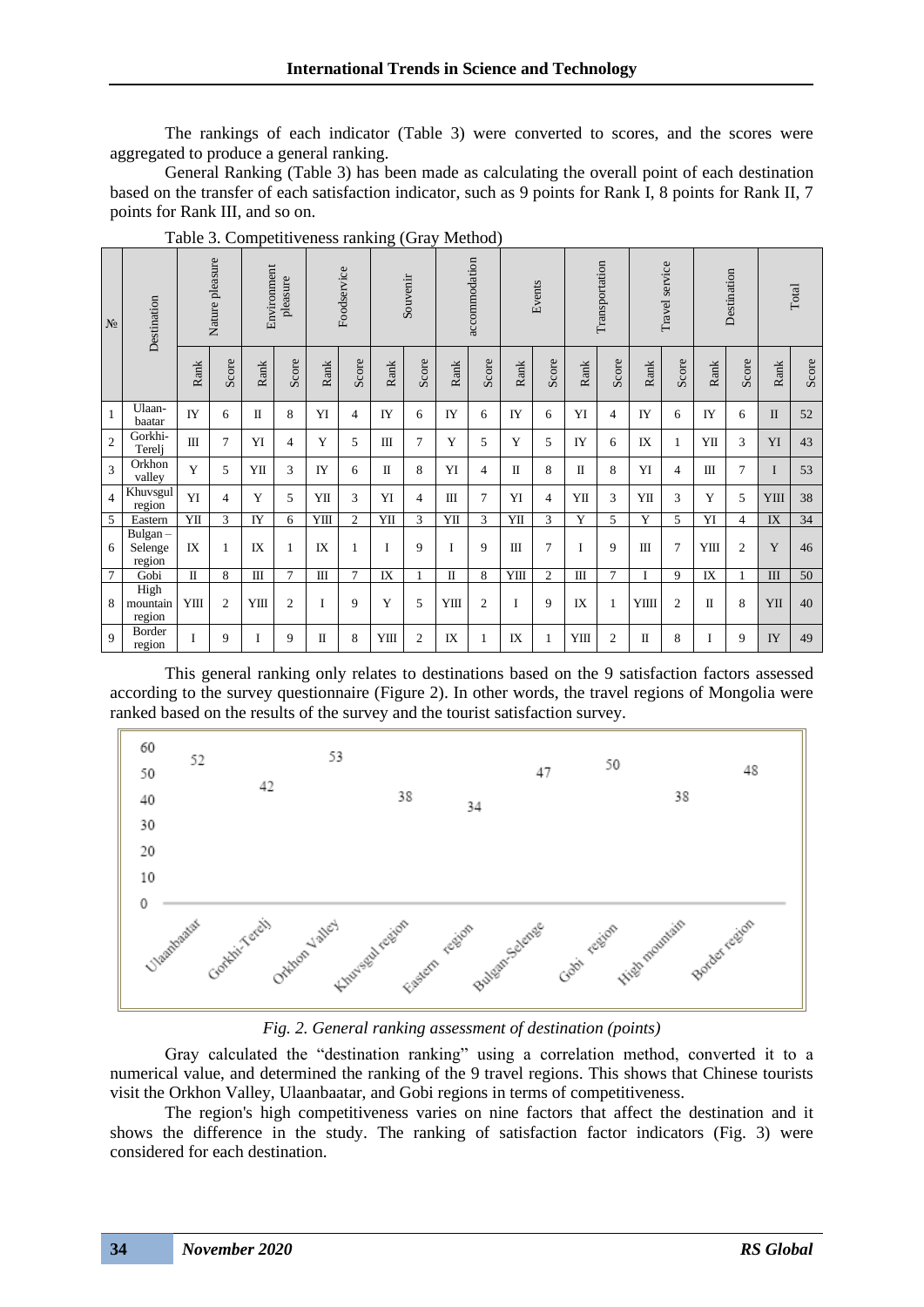The rankings of each indicator (Table 3) were converted to scores, and the scores were aggregated to produce a general ranking.

General Ranking (Table 3) has been made as calculating the overall point of each destination based on the transfer of each satisfaction indicator, such as 9 points for Rank I, 8 points for Rank II, 7 points for Rank III, and so on.

| $\rm N_{2}$     | Destination                  | Nature pleasure |                | Environment<br>pleasure |                | Foodservice  |                | Souvenir    |                | accommodation |                | Events |                | Transportation |                | Travel service |                | Destination |                | Total        |       |
|-----------------|------------------------------|-----------------|----------------|-------------------------|----------------|--------------|----------------|-------------|----------------|---------------|----------------|--------|----------------|----------------|----------------|----------------|----------------|-------------|----------------|--------------|-------|
|                 |                              | Rank            | Score          | Rank                    | Score          | Rank         | Score          | Rank        | Score          | Rank          | Score          | Rank   | Score          | Rank           | Score          | Rank           | Score          | Rank        | Score          | Rank         | Score |
| $\mathbf{1}$    | Ulaan-<br>baatar             | IY              | 6              | $\mathbf I$             | 8              | YI           | $\overline{4}$ | IY          | 6              | IY            | 6              | IY     | 6              | YI             | $\overline{4}$ | IY             | 6              | IY          | 6              | $\mathbf{I}$ | 52    |
| $\overline{2}$  | Gorkhi-<br>Terelj            | Ш               | $\overline{7}$ | YI                      | $\overline{4}$ | Y            | 5              | Ш           | 7              | Y             | 5              | Y      | 5              | IY             | 6              | IX             | 1              | YП          | 3              | YI           | 43    |
| $\mathfrak{Z}$  | Orkhon<br>valley             | Y               | 5              | YП                      | 3              | IY           | 6              | $\mathbf I$ | 8              | YI            | 4              | П      | 8              | $\mathbf I$    | 8              | YI             | $\overline{4}$ | Ш           | 7              | I            | 53    |
| $\overline{4}$  | Khuvsgul<br>region           | YI              | 4              | Y                       | 5              | YП           | 3              | YI          | 4              | Ш             | 7              | YI     | $\overline{4}$ | YП             | 3              | YП             | 3              | Y           | 5              | YIII         | 38    |
| 5               | Eastern                      | YII             | 3              | IY                      | 6              | YШ           | 2              | YII         | 3              | YII           | 3              | YII    | 3              | Y              | 5              | Y              | 5              | YI          | 4              | IX           | 34    |
| 6               | Bulgan-<br>Selenge<br>region | IX              | $\mathbf{1}$   | IX                      | 1              | IX           | $\mathbf{1}$   | I           | 9              | $\mathbf I$   | 9              | III    | $\overline{7}$ | I              | 9              | Ш              | $\overline{7}$ | YIII        | $\mathfrak{2}$ | Y            | 46    |
| $7\phantom{.0}$ | Gobi                         | $\Pi$           | 8              | Ш                       | $\tau$         | $\mathbf{I}$ | $\tau$         | IX          | 1              | $\mathbf{I}$  | 8              | YШ     | 2              | Ш              | 7              | I              | 9              | IX          | 1              | III          | 50    |
| 8               | High<br>mountain<br>region   | YШ              | $\overline{c}$ | YШ                      | $\mathfrak{2}$ | I            | 9              | Y           | 5              | YШ            | $\mathfrak{2}$ | I      | 9              | IX             | 1              | YIIII          | $\overline{2}$ | $\mathbf I$ | 8              | YII          | 40    |
| $\overline{9}$  | Border<br>region             | I               | 9              | I                       | 9              | $\mathbf I$  | 8              | YШ          | $\overline{2}$ | IX            | 1              | IX     | $\mathbf{1}$   | YIII           | $\overline{2}$ | $\mathbf{I}$   | 8              | L           | 9              | IY           | 49    |

Table 3. Competitiveness ranking (Gray Method)

This general ranking only relates to destinations based on the 9 satisfaction factors assessed according to the survey questionnaire (Figure 2). In other words, the travel regions of Mongolia were ranked based on the results of the survey and the tourist satisfaction survey.



#### *Fig. 2. General ranking assessment of destination (points)*

Gray calculated the "destination ranking" using a correlation method, converted it to a numerical value, and determined the ranking of the 9 travel regions. This shows that Chinese tourists visit the Orkhon Valley, Ulaanbaatar, and Gobi regions in terms of competitiveness.

The region's high competitiveness varies on nine factors that affect the destination and it shows the difference in the study. The ranking of satisfaction factor indicators (Fig. 3) were considered for each destination.